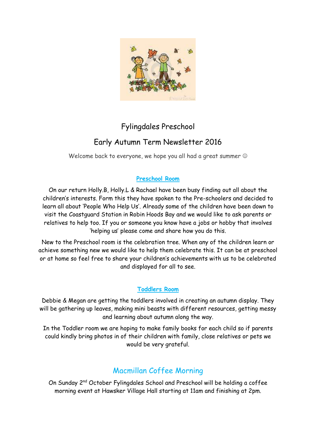

# Fylingdales Preschool

# Early Autumn Term Newsletter 2016

Welcome back to everyone, we hope you all had a great summer  $\odot$ 

### **Preschool Room**

On our return Holly.B, Holly.L & Rachael have been busy finding out all about the children's interests. Form this they have spoken to the Pre-schoolers and decided to learn all about 'People Who Help Us'. Already some of the children have been down to visit the Coastguard Station in Robin Hoods Bay and we would like to ask parents or relatives to help too. If you or someone you know have a jobs or hobby that involves 'helping us' please come and share how you do this.

New to the Preschool room is the celebration tree. When any of the children learn or achieve something new we would like to help them celebrate this. It can be at preschool or at home so feel free to share your children's achievements with us to be celebrated and displayed for all to see.

#### **Toddlers Room**

Debbie & Megan are getting the toddlers involved in creating an autumn display. They will be gathering up leaves, making mini beasts with different resources, getting messy and learning about autumn along the way.

In the Toddler room we are hoping to make family books for each child so if parents could kindly bring photos in of their children with family, close relatives or pets we would be very grateful.

# Macmillan Coffee Morning

On Sunday 2<sup>nd</sup> October Fylingdales School and Preschool will be holding a coffee morning event at Hawsker Village Hall starting at 11am and finishing at 2pm.